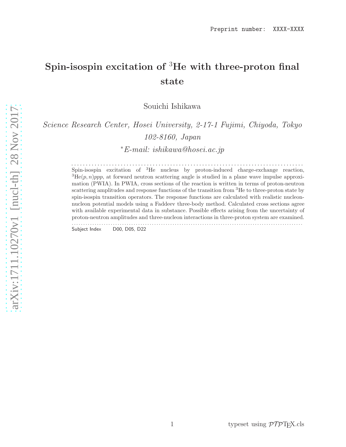# Spin-isospin excitation of <sup>3</sup>He with three-proton final state

Souichi Ishikawa

*Science Research Center, Hosei University, 2-17-1 Fujimi, Chiyoda, Tokyo 102-8160, Japan*

<sup>∗</sup>*E-mail: ishikawa@hosei.ac.jp*

. . . . . . . . . . . . . . . . . . . . . . . . . . . . . . . . . . . . . . . . . . . . . . . . . . . . . . . . . . . . . . . . . . . . . . . . . . . . . . . . Spin-isospin excitation of <sup>3</sup>He nucleus by proton-induced charge-exchange reaction,  ${}^{3}He(p, n)ppp$ , at forward neutron scattering angle is studied in a plane wave impulse approximation (PWIA). In PWIA, cross sections of the reaction is written in terms of proton-neutron scattering amplitudes and response functions of the transition from <sup>3</sup>He to three-proton state by spin-isospin transition operators. The response functions are calculated with realistic nucleonnucleon potential models using a Faddeev three-body method. Calculated cross sections agree with available experimental data in substance. Possible effects arising from the uncertainty of proton-neutron amplitudes and three-nucleon interactions in three-proton system are examined. . . . . . . . . . . . . . . . . . . . . . . . . . . . . . . . . . . . . . . . . . . . . . . . . . . . . . . . . . . . . . . . . . . . . . . . . . . . . . . . . . . . . . . . . . . . . . . . . . . . . .

Subject Index D00, D05, D22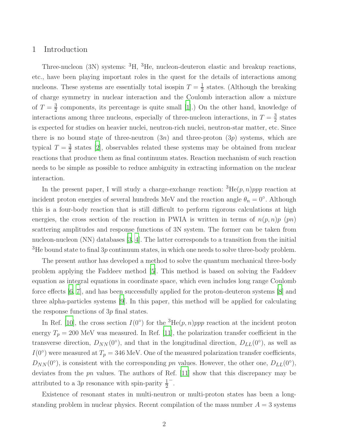## 1 Introduction

Three-nucleon (3N) systems: <sup>3</sup>H, <sup>3</sup>He, nucleon-deuteron elastic and breakup reactions, etc., have been playing important roles in the quest for the details of interactions among nucleons. These systems are essentially total isospin  $T=\frac{1}{2}$  $\frac{1}{2}$  states. (Although the breaking of charge symmetry in nuclear interaction and the Coulomb interaction allow a mixture of  $T=\frac{3}{2}$  $\frac{3}{2}$  components, its percentage is quite small [\[1\]](#page-14-0).) On the other hand, knowledge of interactions among three nucleons, especially of three-nucleon interactions, in  $T = \frac{3}{2}$  $\frac{3}{2}$  states is expected for studies on heavier nuclei, neutron-rich nuclei, neutron-star matter, etc. Since there is no bound state of three-neutron  $(3n)$  and three-proton  $(3p)$  systems, which are typical  $T=\frac{3}{2}$  $\frac{3}{2}$  states [\[2](#page-14-1)], observables related these systems may be obtained from nuclear reactions that produce them as final continuum states. Reaction mechanism of such reaction needs to be simple as possible to reduce ambiguity in extracting information on the nuclear interaction.

In the present paper, I will study a charge-exchange reaction:  ${}^{3}He(p, n)ppp$  reaction at incident proton energies of several hundreds MeV and the reaction angle  $\theta_n = 0^{\circ}$ . Although this is a four-body reaction that is still difficult to perform rigorous calculations at high energies, the cross section of the reaction in PWIA is written in terms of  $n(p, n)p$  (pn) scattering amplitudes and response functions of 3N system. The former can be taken from nucleon-nucleon (NN) databases [\[3,](#page-14-2) [4](#page-14-3)]. The latter corresponds to a transition from the initial  $3H$ e bound state to final  $3p$  continuum states, in which one needs to solve three-body problem.

The present author has developed a method to solve the quantum mechanical three-body problem applying the Faddeev method [\[5\]](#page-14-4). This method is based on solving the Faddeev equation as integral equations in coordinate space, which even includes long range Coulomb force effects [\[6,](#page-14-5) [7](#page-14-6)], and has been successfully applied for the proton-deuteron systems [\[8\]](#page-14-7) and three alpha-particles systems [\[9](#page-14-8)]. In this paper, this method will be applied for calculating the response functions of 3p final states.

In Ref. [\[10](#page-14-9)], the cross section  $I(0^{\circ})$  for the <sup>3</sup>He(p, n)ppp reaction at the incident proton energy  $T_p = 200$  MeV was measured. In Ref. [\[11\]](#page-14-10), the polarization transfer coefficient in the transverse direction,  $D_{NN}(0^{\circ})$ , and that in the longitudinal direction,  $D_{LL}(0^{\circ})$ , as well as  $I(0^{\circ})$  were measured at  $T_p = 346$  MeV. One of the measured polarization transfer coefficients,  $D_{NN}(0^{\circ})$ , is consistent with the corresponding pn values. However, the other one,  $D_{LL}(0^{\circ})$ , deviates from the pn values. The authors of Ref. [\[11](#page-14-10)] show that this discrepancy may be attributed to a 3p resonance with spin-parity  $\frac{1}{2}$ − .

Existence of resonant states in multi-neutron or multi-proton states has been a longstanding problem in nuclear physics. Recent compilation of the mass number  $A = 3$  systems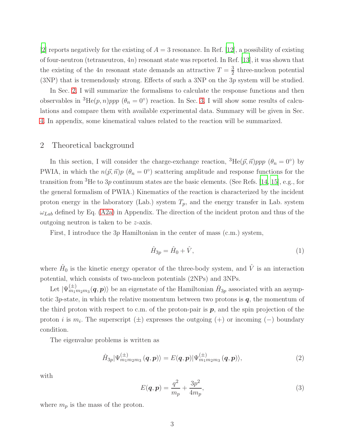[\[2](#page-14-1)] reports negatively for the existing of  $A = 3$  resonance. In Ref. [\[12](#page-14-11)], a possibility of existing of four-neutron (tetraneutron, 4n) resonant state was reported. In Ref. [\[13](#page-14-12)], it was shown that the existing of the 4n resonant state demands an attractive  $T=\frac{3}{2}$  $\frac{3}{2}$  three-nucleon potential (3NP) that is tremendously strong. Effects of such a 3NP on the 3p system will be studied.

In Sec. [2,](#page-2-0) I will summarize the formalisms to calculate the response functions and then observables in <sup>3</sup>He(p, n)ppp ( $\theta_n = 0^{\circ}$ ) reaction. In Sec. [3,](#page-5-0) I will show some results of calculations and compare them with available experimental data. Summary will be given in Sec. [4.](#page-10-0) In appendix, some kinematical values related to the reaction will be summarized.

#### <span id="page-2-0"></span>2 Theoretical background

In this section, I will consider the charge-exchange reaction,  ${}^{3}He(\vec{p}, \vec{n})ppp~(\theta_n = 0^{\circ})$  by PWIA, in which the  $n(\vec{p}, \vec{n})p$  ( $\theta_n = 0^{\circ}$ ) scattering amplitude and response functions for the transition from  ${}^{3}$ He to  $3p$  continuum states are the basic elements. (See Refs. [\[14,](#page-14-13) [15](#page-14-14)], e.g., for the general formalism of PWIA.) Kinematics of the reaction is characterized by the incident proton energy in the laboratory (Lab.) system  $T_p$ , and the energy transfer in Lab. system  $\omega_{Lab}$  defined by Eq. [\(A2a\)](#page-13-0) in Appendix. The direction of the incident proton and thus of the outgoing neutron is taken to be z-axis.

First, I introduce the 3p Hamiltonian in the center of mass (c.m.) system,

$$
\hat{H}_{3p} = \hat{H}_0 + \hat{V},\tag{1}
$$

where  $\hat{H}_0$  is the kinetic energy operator of the three-body system, and  $\hat{V}$  is an interaction potential, which consists of two-nucleon potentials (2NPs) and 3NPs.

Let  $|\Psi_{m_1m_2m_3}^{(\pm)}(\bm{q},\bm{p})\rangle$  be an eigenstate of the Hamiltonian  $\hat{H}_{3p}$  associated with an asymptotic  $3p$ -state, in which the relative momentum between two protons is  $q$ , the momentum of the third proton with respect to c.m. of the proton-pair is  $p$ , and the spin projection of the proton *i* is  $m_i$ . The superscript ( $\pm$ ) expresses the outgoing (+) or incoming (-) boundary condition.

The eigenvalue problems is written as

$$
\hat{H}_{3p}|\Psi_{m_1m_2m_3}^{(\pm)}(\boldsymbol{q},\boldsymbol{p})\rangle=E(\boldsymbol{q},\boldsymbol{p})|\Psi_{m_1m_2m_3}^{(\pm)}(\boldsymbol{q},\boldsymbol{p})\rangle,\tag{2}
$$

with

$$
E(\boldsymbol{q}, \boldsymbol{p}) = \frac{q^2}{m_p} + \frac{3p^2}{4m_p},\tag{3}
$$

where  $m_p$  is the mass of the proton.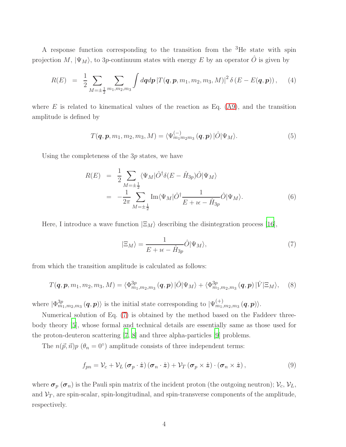A response function corresponding to the transition from the <sup>3</sup>He state with spin projection M,  $|\Psi_M\rangle$ , to 3p-continuum states with energy E by an operator  $\hat{O}$  is given by

<span id="page-3-4"></span>
$$
R(E) = \frac{1}{2} \sum_{M=\pm \frac{1}{2}} \sum_{m_1, m_2, m_3} \int dq dp |T(\boldsymbol{q}, \boldsymbol{p}, m_1, m_2, m_3, M)|^2 \delta(E - E(\boldsymbol{q}, \boldsymbol{p})), \quad (4)
$$

where  $E$  is related to kinematical values of the reaction as Eq. [\(A9\)](#page-14-15), and the transition amplitude is defined by

<span id="page-3-2"></span>
$$
T(\boldsymbol{q},\boldsymbol{p},m_1,m_2,m_3,M) = \langle \Psi_{m_1m_2m_3}^{(-)}(\boldsymbol{q},\boldsymbol{p}) \, | \hat{O} | \Psi_M \rangle. \tag{5}
$$

Using the completeness of the 3p states, we have

$$
R(E) = \frac{1}{2} \sum_{M=\pm \frac{1}{2}} \langle \Psi_M | \hat{O}^\dagger \delta(E - \hat{H}_{3p}) \hat{O} | \Psi_M \rangle
$$
  
= 
$$
-\frac{1}{2\pi} \sum_{M=\pm \frac{1}{2}} \text{Im} \langle \Psi_M | \hat{O}^\dagger \frac{1}{E + i\epsilon - \hat{H}_{3p}} \hat{O} | \Psi_M \rangle.
$$
 (6)

Here, I introduce a wave function  $|\Xi_M\rangle$  describing the disintegration process [\[16\]](#page-14-16),

<span id="page-3-0"></span>
$$
|\Xi_M\rangle = \frac{1}{E + i\epsilon - \hat{H}_{3p}} \hat{O} |\Psi_M\rangle, \tag{7}
$$

from which the transition amplitude is calculated as follows:

<span id="page-3-3"></span>
$$
T(\boldsymbol{q},\boldsymbol{p},m_1,m_2,m_3,M) = \langle \Phi_{m_1,m_2,m_3}^{3p}(\boldsymbol{q},\boldsymbol{p}) \, | \hat{O} | \Psi_M \rangle + \langle \Phi_{m_1,m_2,m_3}^{3p}(\boldsymbol{q},\boldsymbol{p}) \, | \hat{V} | \Xi_M \rangle, \tag{8}
$$

where  $|\Phi_{m_1,m_2,m_3}^{3p}(\boldsymbol{q},\boldsymbol{p})\rangle$  is the initial state corresponding to  $|\Psi_{m_1,m_2,m_3}^{(+)}($  $_{m_{1},m_{2},m_{3}}^{(\pm )}(\bm{q},\bm{p})\rangle.$ 

Numerical solution of Eq. [\(7\)](#page-3-0) is obtained by the method based on the Faddeev threebody theory [\[5\]](#page-14-4), whose formal and technical details are essentially same as those used for the proton-deuteron scattering [\[7,](#page-14-6) [8\]](#page-14-7) and three alpha-particles [\[9](#page-14-8)] problems.

The  $n(\vec{p}, \vec{n})p$  ( $\theta_n = 0^{\circ}$ ) amplitude consists of three independent terms:

<span id="page-3-1"></span>
$$
f_{pn} = \mathcal{V}_c + \mathcal{V}_L \left( \boldsymbol{\sigma}_p \cdot \hat{\boldsymbol{z}} \right) \left( \boldsymbol{\sigma}_n \cdot \hat{\boldsymbol{z}} \right) + \mathcal{V}_T \left( \boldsymbol{\sigma}_p \times \hat{\boldsymbol{z}} \right) \cdot \left( \boldsymbol{\sigma}_n \times \hat{\boldsymbol{z}} \right), \tag{9}
$$

where  $\sigma_p$  ( $\sigma_n$ ) is the Pauli spin matrix of the incident proton (the outgoing neutron);  $V_c$ ,  $V_L$ , and  $\mathcal{V}_T$ , are spin-scalar, spin-longitudinal, and spin-transverse components of the amplitude, respectively.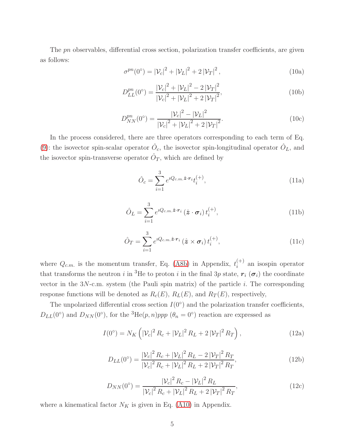The pn observables, differential cross section, polarization transfer coefficients, are given as follows:

<span id="page-4-2"></span>
$$
\sigma^{pn}(0^{\circ}) = |\mathcal{V}_c|^2 + |\mathcal{V}_L|^2 + 2|\mathcal{V}_T|^2, \qquad (10a)
$$

$$
D_{LL}^{pn}(0^{\circ}) = \frac{|\mathcal{V}_c|^2 + |\mathcal{V}_L|^2 - 2|\mathcal{V}_T|^2}{|\mathcal{V}_c|^2 + |\mathcal{V}_L|^2 + 2|\mathcal{V}_T|^2},\tag{10b}
$$

<span id="page-4-3"></span>
$$
D_{NN}^{pn}(0^{\circ}) = \frac{|\mathcal{V}_c|^2 - |\mathcal{V}_L|^2}{|\mathcal{V}_c|^2 + |\mathcal{V}_L|^2 + 2|\mathcal{V}_T|^2}.
$$
 (10c)

In the process considered, there are three operators corresponding to each term of Eq. [\(9\)](#page-3-1): the isovector spin-scalar operator  $\hat{O}_c$ , the isovector spin-longitudinal operator  $\hat{O}_L$ , and the isovector spin-transverse operator  $\hat{O}_T$ , which are defined by

<span id="page-4-0"></span>
$$
\hat{O}_c = \sum_{i=1}^3 e^{iQ_{c.m.}\hat{\boldsymbol{z}} \cdot \boldsymbol{r}_i} t_i^{(+)},\tag{11a}
$$

$$
\hat{O}_L = \sum_{i=1}^3 e^{iQ_{c.m.}\hat{\boldsymbol{z}} \cdot \boldsymbol{r}_i} \left(\hat{\boldsymbol{z}} \cdot \boldsymbol{\sigma}_i\right) t_i^{(+)},\tag{11b}
$$

<span id="page-4-1"></span>
$$
\hat{O}_T = \sum_{i=1}^3 e^{iQ_{c.m.}\hat{\boldsymbol{z}} \cdot \boldsymbol{r}_i} \left(\hat{\boldsymbol{z}} \times \boldsymbol{\sigma}_i\right) t_i^{(+)},\tag{11c}
$$

where  $Q_{c.m.}$  is the momentum transfer, Eq. [\(A8b\)](#page-14-17) in Appendix,  $t_i^{(+)}$  $i^{\tau}$  an isospin operator that transforms the neutron i in <sup>3</sup>He to proton i in the final 3p state,  $r_i$  ( $\sigma_i$ ) the coordinate vector in the  $3N$ -c.m. system (the Pauli spin matrix) of the particle *i*. The corresponding response functions will be denoted as  $R_c(E)$ ,  $R_L(E)$ , and  $R_T(E)$ , respectively,

The unpolarized differential cross section  $I(0^{\circ})$  and the polarization transfer coefficients,  $D_{LL}(0^{\circ})$  and  $D_{NN}(0^{\circ})$ , for the <sup>3</sup>He(p, n)ppp ( $\theta_n = 0^{\circ}$ ) reaction are expressed as

<span id="page-4-4"></span>
$$
I(0^{\circ}) = N_K \left( |\mathcal{V}_c|^2 R_c + |\mathcal{V}_L|^2 R_L + 2 |\mathcal{V}_T|^2 R_T \right), \tag{12a}
$$

$$
D_{LL}(0^{\circ}) = \frac{|\mathcal{V}_c|^2 R_c + |\mathcal{V}_L|^2 R_L - 2 |\mathcal{V}_T|^2 R_T}{|\mathcal{V}_c|^2 R_c + |\mathcal{V}_L|^2 R_L + 2 |\mathcal{V}_T|^2 R_T},\tag{12b}
$$

<span id="page-4-5"></span>
$$
D_{NN}(0^{\circ}) = \frac{|\mathcal{V}_c|^2 R_c - |\mathcal{V}_L|^2 R_L}{|\mathcal{V}_c|^2 R_c + |\mathcal{V}_L|^2 R_L + 2 |\mathcal{V}_T|^2 R_T},\tag{12c}
$$

where a kinematical factor  $N_K$  is given in Eq. [\(A10\)](#page-14-18) in Appendix.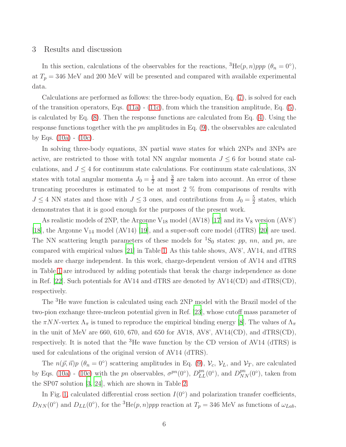### <span id="page-5-0"></span>3 Results and discussion

In this section, calculations of the observables for the reactions,  ${}^{3}He(p, n)ppp$  ( $\theta_n = 0^{\circ}$ ), at  $T_p = 346$  MeV and 200 MeV will be presented and compared with available experimental data.

Calculations are performed as follows: the three-body equation, Eq. [\(7\)](#page-3-0), is solved for each of the transition operators, Eqs.  $(11a)$  -  $(11c)$ , from which the transition amplitude, Eq.  $(5)$ , is calculated by Eq. [\(8\)](#page-3-3). Then the response functions are calculated from Eq. [\(4\)](#page-3-4). Using the response functions together with the  $pn$  amplitudes in Eq.  $(9)$ , the observables are calculated by Eqs. [\(10a\)](#page-4-2) - [\(10c\)](#page-4-3).

In solving three-body equations, 3N partial wave states for which 2NPs and 3NPs are active, are restricted to those with total NN angular momenta  $J \leq 6$  for bound state calculations, and  $J \leq 4$  for continuum state calculations. For continuum state calculations, 3N states with total angular momenta  $J_0 = \frac{1}{2}$  $\frac{1}{2}$  and  $\frac{3}{2}$  are taken into account. An error of these truncating procedures is estimated to be at most 2 % from comparisons of results with  $J \leq 4$  NN states and those with  $J \leq 3$  ones, and contributions from  $J_0 = \frac{5}{2}$  $\frac{5}{2}$  states, which demonstrates that it is good enough for the purposes of the present work.

As realistic models of 2NP, the Argonne  $V_{18}$  model (AV18) [\[17\]](#page-14-19) and its  $V_8$  version (AV8') [\[18\]](#page-15-0), the Argonne  $V_{14}$  model (AV14) [\[19](#page-15-1)], and a super-soft core model (dTRS) [\[20](#page-15-2)] are used. The NN scattering length parameters of these models for <sup>1</sup>S<sub>0</sub> states: pp, nn, and pn, are compared with empirical values [\[21\]](#page-15-3) in Table [1.](#page-6-0) As this table shows, AV8', AV14, and dTRS models are charge independent. In this work, charge-dependent version of AV14 and dTRS in Table [1](#page-6-0) are introduced by adding potentials that break the charge independence as done in Ref. [\[22](#page-15-4)]. Such potentials for AV14 and dTRS are denoted by AV14(CD) and dTRS(CD), respectively.

The <sup>3</sup>He wave function is calculated using each 2NP model with the Brazil model of the two-pion exchange three-nucleon potential given in Ref. [\[23\]](#page-15-5), whose cutoff mass parameter of the  $\pi NN$ -vertex  $\Lambda_{\pi}$  is tuned to reproduce the empirical binding energy [\[8\]](#page-14-7). The values of  $\Lambda_{\pi}$ in the unit of MeV are 660, 610, 670, and 650 for AV18, AV8', AV14(CD), and dTRS(CD), respectively. It is noted that the  ${}^{3}$ He wave function by the CD version of AV14 (dTRS) is used for calculations of the original version of AV14 (dTRS).

The  $n(\vec{p}, \vec{n})p~(\theta_n = 0^{\circ})$  scattering amplitudes in Eq. [\(9\)](#page-3-1),  $\mathcal{V}_c$ ,  $\mathcal{V}_L$ , and  $\mathcal{V}_T$ , are calculated by Eqs. [\(10a\)](#page-4-2) - [\(10c\)](#page-4-3) with the pn observables,  $\sigma^{pn}(0^{\circ})$ ,  $D_{LL}^{pn}(0^{\circ})$ , and  $D_{NN}^{pn}(0^{\circ})$ , taken from the SP07 solution [\[3](#page-14-2), [24](#page-15-6)], which are shown in Table [2.](#page-6-1)

In Fig. [1,](#page-7-0) calculated differential cross section  $I(0^{\circ})$  and polarization transfer coefficients,  $D_{NN}(0^{\circ})$  and  $D_{LL}(0^{\circ})$ , for the <sup>3</sup>He(p, n)ppp reaction at  $T_p = 346$  MeV as functions of  $\omega_{Lab}$ ,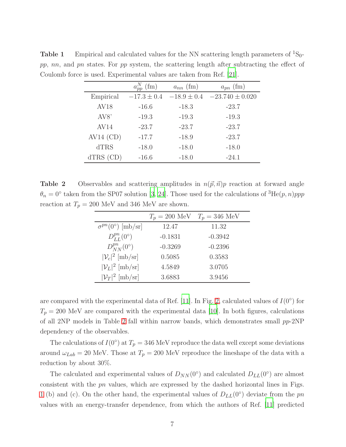<span id="page-6-0"></span>

|               | $a_{pp}^N$ (fm) | $a_{nn}$ (fm)   | $a_{pn}$ (fm)       |
|---------------|-----------------|-----------------|---------------------|
| Empirical     | $-17.3 \pm 0.4$ | $-18.9 \pm 0.4$ | $-23.740 \pm 0.020$ |
| <b>AV18</b>   | $-16.6$         | $-18.3$         | $-23.7$             |
| AV8'          | $-19.3$         | $-19.3$         | $-19.3$             |
| AV14          | $-23.7$         | $-23.7$         | $-23.7$             |
| $AV14$ (CD)   | $-17.7$         | $-18.9$         | $-23.7$             |
| <b>dTRS</b>   | $-18.0$         | $-18.0$         | $-18.0$             |
| $dTRS$ $(CD)$ | $-16.6$         | $-18.0$         | $-24.1$             |

**Table 1** Empirical and calculated values for the NN scattering length parameters of  ${}^{1}S_{0}$ pp, nn, and pn states. For pp system, the scattering length after subtracting the effect of Coulomb force is used. Experimental values are taken from Ref. [\[21\]](#page-15-3).

**Table 2** Observables and scattering amplitudes in  $n(\vec{p}, \vec{n})p$  reaction at forward angle  $\theta_n = 0^{\circ}$  taken from the SP07 solution [\[3](#page-14-2), [24](#page-15-6)]. Those used for the calculations of  ${}^{3}He(p, n)ppp$ reaction at  $T_p = 200$  MeV and 346 MeV are shown.

<span id="page-6-1"></span>

|                                  | $T_p = 200$ MeV | $T_p = 346$ MeV |
|----------------------------------|-----------------|-----------------|
| $\sigma^{pn}(0^{\circ})$ [mb/sr] | 12.47           | 11.32           |
| $D_{LL}^{pn}(0^{\circ})$         | $-0.1831$       | $-0.3942$       |
| $D_{NN}^{pn}(0^{\circ})$         | $-0.3269$       | $-0.2396$       |
| $ \mathcal{V}_c ^2$ [mb/sr]      | 0.5085          | 0.3583          |
| $ \mathcal{V}_L ^2$ [mb/sr]      | 4.5849          | 3.0705          |
| $ \mathcal{V}_T ^2$ [mb/sr]      | 3.6883          | 3.9456          |

are compared with the experimental data of Ref. [\[11\]](#page-14-10). In Fig. [2,](#page-8-0) calculated values of  $I(0^{\circ})$  for  $T_p = 200$  MeV are compared with the experimental data [\[10\]](#page-14-9). In both figures, calculations of all [2](#page-6-1)NP models in Table 2 fall within narrow bands, which demonstrates small  $pp-2NP$ dependency of the observables.

The calculations of  $I(0^{\circ})$  at  $T_p = 346$  MeV reproduce the data well except some deviations around  $\omega_{Lab} = 20$  MeV. Those at  $T_p = 200$  MeV reproduce the lineshape of the data with a reduction by about 30%.

The calculated and experimental values of  $D_{NN}(0^{\circ})$  and calculated  $D_{LL}(0^{\circ})$  are almost consistent with the pn values, which are expressed by the dashed horizontal lines in Figs. [1](#page-7-0) (b) and (c). On the other hand, the experimental values of  $D_{LL}(0^{\circ})$  deviate from the pn values with an energy-transfer dependence, from which the authors of Ref. [\[11](#page-14-10)] predicted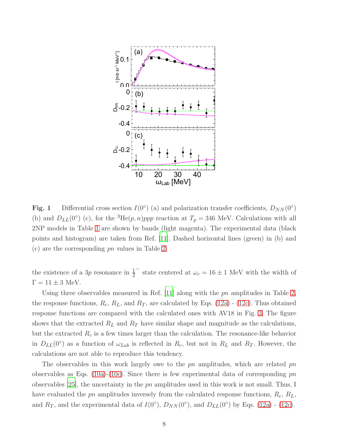

<span id="page-7-0"></span>Fig. 1 Differential cross section  $I(0^{\circ})$  (a) and polarization transfer coefficients,  $D_{NN}(0^{\circ})$ (b) and  $D_{LL}(0^{\circ})$  (c), for the <sup>3</sup>He(p, n)ppp reaction at  $T_p = 346$  MeV. Calculations with all 2NP models in Table [1](#page-6-0) are shown by bands (light magenta). The experimental data (black points and histogram) are taken from Ref. [\[11\]](#page-14-10). Dashed horizontal lines (green) in (b) and (c) are the corresponding pn values in Table [2.](#page-6-1)

the existence of a 3p resonance in  $\frac{1}{2}$  $<sup>−</sup>$  state centered at  $ω<sub>r</sub> = 16 ± 1$  MeV with the width of</sup>  $\Gamma = 11 \pm 3$  MeV.

Using three observables measured in Ref. [\[11\]](#page-14-10) along with the pn amplitudes in Table [2,](#page-6-1) the response functions,  $R_c$ ,  $R_L$ , and  $R_T$ , are calculated by Eqs. [\(12a\)](#page-4-4) - [\(12c\)](#page-4-5). Thus obtained response functions are compared with the calculated ones with AV18 in Fig. [3.](#page-8-1) The figure shows that the extracted  $R_L$  and  $R_T$  have similar shape and magnitude as the calculations, but the extracted  $R_c$  is a few times larger than the calculation. The resonance-like behavior in  $D_{LL}(0^{\circ})$  as a function of  $\omega_{Lab}$  is reflected in  $R_c$ , but not in  $R_L$  and  $R_T$ . However, the calculations are not able to reproduce this tendency.

The observables in this work largely owe to the  $pn$  amplitudes, which are related  $pn$ observables as Eqs. [\(10a\)](#page-4-2)-[\(10c\)](#page-4-3). Since there is few experimental data of corresponding  $pn$ observables [\[25\]](#page-15-7), the uncertainty in the pn amplitudes used in this work is not small. Thus, I have evaluated the pn amplitudes inversely from the calculated response functions,  $R_c$ ,  $R_L$ , and  $R_T$ , and the experimental data of  $I(0^{\circ})$ ,  $D_{NN}(0^{\circ})$ , and  $D_{LL}(0^{\circ})$  by Eqs. [\(12a\)](#page-4-4) - [\(12c\)](#page-4-5).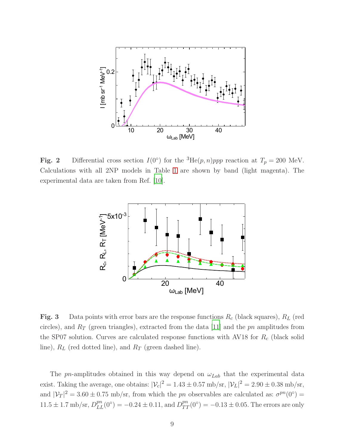

<span id="page-8-0"></span>**Fig. 2** Differential cross section  $I(0^{\circ})$  for the <sup>3</sup>He(p, n)ppp reaction at  $T_p = 200$  MeV. Calculations with all 2NP models in Table [1](#page-6-0) are shown by band (light magenta). The experimental data are taken from Ref. [\[10\]](#page-14-9).



<span id="page-8-1"></span>**Fig. 3** Data points with error bars are the response functions  $R_c$  (black squares),  $R_L$  (red circles), and  $R_T$  (green triangles), extracted from the data [\[11](#page-14-10)] and the pn amplitudes from the SP07 solution. Curves are calculated response functions with AV18 for  $R_c$  (black solid line),  $R_L$  (red dotted line), and  $R_T$  (green dashed line).

The pn-amplitudes obtained in this way depend on  $\omega_{Lab}$  that the experimental data exist. Taking the average, one obtains:  $|V_c|^2 = 1.43 \pm 0.57 \text{ mb/sr}, |V_L|^2 = 2.90 \pm 0.38 \text{ mb/sr},$ and  $|\mathcal{V}_T|^2 = 3.60 \pm 0.75$  mb/sr, from which the pn observables are calculated as:  $\sigma^{pn}(0^{\circ}) =$  $11.5 \pm 1.7 \text{ mb/sr}, D_{LL}^{pn}(0^{\circ}) = -0.24 \pm 0.11, \text{ and } D_{TT}^{pn}(0^{\circ}) = -0.13 \pm 0.05.$  The errors are only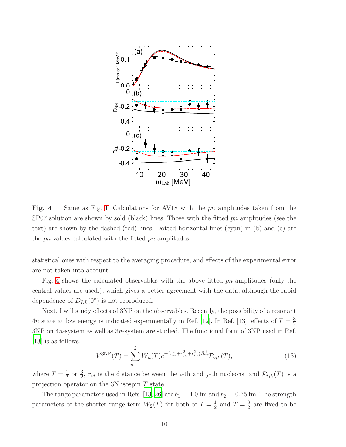

<span id="page-9-0"></span>Fig. 4 Same as Fig. [1.](#page-7-0) Calculations for AV18 with the pn amplitudes taken from the SP07 solution are shown by sold (black) lines. Those with the fitted pn amplitudes (see the text) are shown by the dashed (red) lines. Dotted horizontal lines (cyan) in (b) and (c) are the pn values calculated with the fitted pn amplitudes.

statistical ones with respect to the averaging procedure, and effects of the experimental error are not taken into account.

Fig. [4](#page-9-0) shows the calculated observables with the above fitted pn-amplitudes (only the central values are used.), which gives a better agreement with the data, although the rapid dependence of  $D_{LL}(0^{\circ})$  is not reproduced.

Next, I will study effects of 3NP on the observables. Recently, the possibility of a resonant 4n state at low energy is indicated experimentally in Ref. [\[12\]](#page-14-11). In Ref. [\[13](#page-14-12)], effects of  $T = \frac{3}{2}$ 2 3NP on 4n-system as well as 3n-system are studied. The functional form of 3NP used in Ref. [\[13\]](#page-14-12) is as follows.

$$
V^{3NP}(T) = \sum_{n=1}^{2} W_n(T) e^{-(r_{ij}^2 + r_{jk}^2 + r_{ki}^2)/b_n^2} \mathcal{P}_{ijk}(T),
$$
\n(13)

where  $T=\frac{1}{2}$  $\frac{1}{2}$  or  $\frac{3}{2}$ ,  $r_{ij}$  is the distance between the *i*-th and *j*-th nucleons, and  $\mathcal{P}_{ijk}(T)$  is a projection operator on the 3N isospin T state.

The range parameters used in Refs. [\[13,](#page-14-12) [26\]](#page-15-8) are  $b_1 = 4.0$  fm and  $b_2 = 0.75$  fm. The strength parameters of the shorter range term  $W_2(T)$  for both of  $T=\frac{1}{2}$  $rac{1}{2}$  and  $T = \frac{3}{2}$  $\frac{3}{2}$  are fixed to be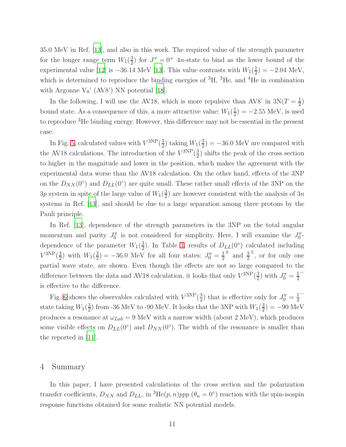35.0 MeV in Ref. [\[13\]](#page-14-12), and also in this work. The required value of the strength parameter for the longer range term  $W_1(\frac{3}{2})$  $\frac{3}{2}$ ) for  $J^{\pi} = 0^+$  4*n*-state to bind as the lower bound of the experimental value [\[12](#page-14-11)] is  $-36.14 \text{ MeV}$  [\[13\]](#page-14-12). This value contrasts with  $W_1(\frac{1}{2})$  $(\frac{1}{2}) = -2.04 \text{ MeV},$ which is determined to reproduce the binding energies of  ${}^{3}H$ ,  ${}^{3}He$ , and  ${}^{4}He$  in combination with Argonne  $V_8$ ' (AV8') NN potential [\[18\]](#page-15-0).

In the following, I will use the AV18, which is more repulsive than AV8' in  $3N(T = \frac{1}{2})$  $\frac{1}{2})$ bound state. As a consequence of this, a more attractive value:  $W_1(\frac{1}{2})$  $(\frac{1}{2}) = -2.55 \text{ MeV}$ , is used to reproduce <sup>3</sup>He binding energy. However, this difference may not be essential in the present case.

In Fig. [5,](#page-11-0) calculated values with  $V^{3NP}(\frac{3}{2})$  $\frac{3}{2}$ ) taking  $W_1(\frac{3}{2})$  $(\frac{3}{2}) = -36.0$  MeV are compared with the AV18 calculations. The introduction of the  $V^{3NP}(\frac{3}{2})$  $\frac{3}{2}$ ) shifts the peak of the cross section to higher in the magnitude and lower in the position, which makes the agreement with the experimental data worse than the AV18 calculation. On the other hand, effects of the 3NP on the  $D_{NN}(0^{\circ})$  and  $D_{LL}(0^{\circ})$  are quite small. These rather small effects of the 3NP on the  $3p$  system in spite of the large value of  $W_1(\frac{3}{2})$  $\frac{3}{2}$ ) are however consistent with the analysis of  $3n$ systems in Ref. [\[13\]](#page-14-12), and should be due to a large separation among three protons by the Pauli principle.

In Ref. [\[13](#page-14-12)], dependence of the strength parameters in the 3NP on the total angular momentum and parity  $J_0^{\pi}$  is not considered for simplicity. Here, I will examine the  $J_0^{\pi}$ dependence of the parameter  $W_1(\frac{3}{2})$  $\frac{3}{2}$ ). In Table [3,](#page-11-1) results of  $D_{LL}(0^{\circ})$  calculated including  $V^{3NP}(\frac{3}{2})$  $\frac{3}{2}$ ) with  $W_1(\frac{3}{2})$  $\left(\frac{3}{2}\right) = -36.0$  MeV for all four states:  $J_0^{\pi} = \frac{1}{2}$ 2  $\pm$  and  $\frac{3}{2}$ ± , or for only one partial wave state, are shown. Even though the effects are not so large compared to the difference between the data and AV18 calculation, it looks that only  $V^{3NP}(\frac{3}{2})$  $\frac{3}{2}$ ) with  $J_0^{\pi} = \frac{1}{2}$ 2 − is effective to the difference.

Fig. [6](#page-12-0) shows the observables calculated with  $V^{3NP}(\frac{3}{2})$  $\frac{3}{2}$ ) that is effective only for  $J_0^{\pi} = \frac{1}{2}$ 2 − state taking  $W_1(\frac{3}{2})$  $\frac{3}{2}$ ) from -36 MeV to -90 MeV. It looks that the 3NP with  $W_1(\frac{3}{2})$  $(\frac{3}{2}) = -90 \text{ MeV}$ produces a resonance at  $\omega_{Lab} = 9$  MeV with a narrow width (about 2 MeV), which produces some visible effects on  $D_{LL}(0^{\circ})$  and  $D_{NN}(0^{\circ})$ . The width of the resonance is smaller than the reported in [\[11\]](#page-14-10).

#### <span id="page-10-0"></span>4 Summary

In this paper, I have presented calculations of the cross section and the polarization transfer coefficients,  $D_{NN}$  and  $D_{LL}$ , in <sup>3</sup>He(p, n)ppp ( $\theta_n = 0^{\circ}$ ) reaction with the spin-isospin response functions obtained for some realistic NN potential models.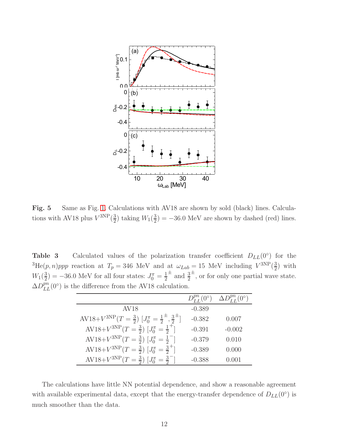

<span id="page-11-0"></span>Fig. 5 Same as Fig. [1.](#page-7-0) Calculations with AV18 are shown by sold (black) lines. Calculations with AV18 plus  $V^{3NP}(\frac{3}{2})$  $\frac{3}{2}$ ) taking  $W_1(\frac{3}{2})$  $\left(\frac{3}{2}\right) = -36.0$  MeV are shown by dashed (red) lines.

Table 3 Calculated values of the polarization transfer coefficient  $D_{LL}(0^{\circ})$  for the  ${}^{3}\text{He}(p, n)ppp$  reaction at  $T_p = 346$  MeV and at  $\omega_{Lab} = 15$  MeV including  $V^{3NP}(\frac{3}{2})$  $(\frac{3}{2})$  with  $W_1(\frac{3}{2})$  $\left(\frac{3}{2}\right) = -36.0$  MeV for all four states:  $J_0^{\pi} = \frac{1}{2}$ 2  $\pm$  and  $\frac{3}{2}$  $\pm$ , or for only one partial wave state.  $\Delta D_{LL}^{pn}(0^{\circ})$  is the difference from the AV18 calculation.

<span id="page-11-1"></span>

|                                                                                  | $D_{LL}^{p n}(0^{\circ})$ | $\Delta D_{LL}^{\mu\mu}(0^{\circ})$ |
|----------------------------------------------------------------------------------|---------------------------|-------------------------------------|
| AV <sub>18</sub>                                                                 | $-0.389$                  |                                     |
| AV18+ $V^{3NP}(T=\frac{3}{2})$ $[J_0^{\pi}=\frac{1}{2}^{\pm},\frac{3}{2}^{\pm}]$ | $-0.382$                  | 0.007                               |
| AV18+ $V^{3NP}(T=\frac{3}{2})$ $[J_0^{\pi}=\frac{1}{2}^+]$                       | $-0.391$                  | $-0.002$                            |
| AV18+ $V^{3NP}(T=\frac{3}{2})$ $[J_0^{\pi}=\frac{1}{2}^-]$                       | $-0.379$                  | 0.010                               |
| AV18+ $V^{3NP}(T=\frac{3}{2})$ $[J_0^{\pi}=\frac{3}{2}^+]$                       | $-0.389$                  | 0.000                               |
| $AV18 + V^{3NP}(T = \frac{3}{2})$ $[J_0^{\pi} = \frac{3}{2}]$                    | $-0.388$                  | 0.001                               |

The calculations have little NN potential dependence, and show a reasonable agreement with available experimental data, except that the energy-transfer dependence of  $D_{LL}(0°)$  is much smoother than the data.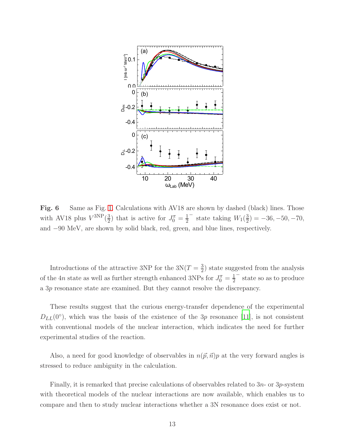

<span id="page-12-0"></span>Fig. 6 Same as Fig. [1.](#page-7-0) Calculations with AV18 are shown by dashed (black) lines. Those with AV18 plus  $V^{3NP}(\frac{3}{2})$  $(\frac{3}{2})$  that is active for  $J_0^{\pi} = \frac{1}{2}$ 2  $−$  state taking  $W_1(\frac{3}{2})$  $(\frac{3}{2}) = -36, -50, -70,$ and −90 MeV, are shown by solid black, red, green, and blue lines, respectively.

Introductions of the attractive 3NP for the  $3N(T = \frac{3}{2})$  $\frac{3}{2}$ ) state suggested from the analysis of the 4*n* state as well as further strength enhanced 3NPs for  $J_0^{\pi} = \frac{1}{2}$ 2 − state so as to produce a 3p resonance state are examined. But they cannot resolve the discrepancy.

These results suggest that the curious energy-transfer dependence of the experimental  $D_{LL}(0^{\circ})$ , which was the basis of the existence of the 3p resonance [\[11](#page-14-10)], is not consistent with conventional models of the nuclear interaction, which indicates the need for further experimental studies of the reaction.

Also, a need for good knowledge of observables in  $n(\vec{p}, \vec{n})p$  at the very forward angles is stressed to reduce ambiguity in the calculation.

Finally, it is remarked that precise calculations of observables related to  $3n$ - or  $3p$ -system with theoretical models of the nuclear interactions are now available, which enables us to compare and then to study nuclear interactions whether a 3N resonance does exist or not.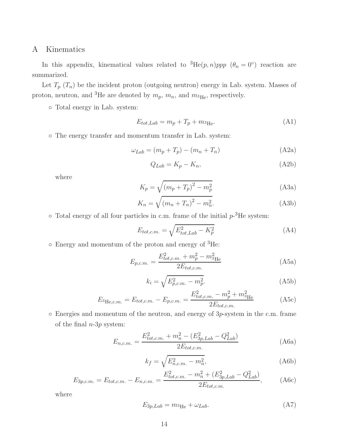# A Kinematics

In this appendix, kinematical values related to  ${}^{3}He(p,n)ppp (\theta_n = 0^{\circ})$  reaction are summarized.

Let  $T_p(T_n)$  be the incident proton (outgoing neutron) energy in Lab. system. Masses of proton, neutron, and <sup>3</sup>He are denoted by  $m_p$ ,  $m_n$ , and  $m_{\rm 3He}$ , respectively.

◦ Total energy in Lab. system:

$$
E_{tot, Lab} = m_p + T_p + m_{^3\text{He}}.\tag{A1}
$$

◦ The energy transfer and momentum transfer in Lab. system:

<span id="page-13-0"></span>
$$
\omega_{Lab} = (m_p + T_p) - (m_n + T_n) \tag{A2a}
$$

$$
Q_{Lab} = K_p - K_n,\tag{A2b}
$$

where

$$
K_p = \sqrt{(m_p + T_p)^2 - m_p^2}
$$
 (A3a)

$$
K_n = \sqrt{(m_n + T_n)^2 - m_n^2}.
$$
 (A3b)

 $\circ$  Total energy of all four particles in c.m. frame of the initial  $p$ -<sup>3</sup>He system:

$$
E_{tot,c.m.} = \sqrt{E_{tot,Lab}^2 - K_p^2}
$$
 (A4)

◦ Energy and momentum of the proton and energy of <sup>3</sup>He:

$$
E_{p,c.m.} = \frac{E_{tot,c.m.}^2 + m_p^2 - m_{3\text{He}}^2}{2E_{tot,c.m.}}
$$
(A5a)

$$
k_i = \sqrt{E_{p,c.m.}^2 - m_p^2}.
$$
 (A5b)

$$
E_{^3\text{He},c.m.} = E_{tot,c.m.} - E_{p,c.m.} = \frac{E_{tot,c.m.}^2 - m_p^2 + m_{^3\text{He}}^2}{2E_{tot,c.m.}}
$$
(A5c)

◦ Energies and momentum of the neutron, and energy of 3p-system in the c.m. frame of the final  $n-3p$  system:

$$
E_{n,c.m.} = \frac{E_{tot,c.m.}^2 + m_n^2 - (E_{3p,Lab}^2 - Q_{Lab}^2)}{2E_{tot,c.m.}}
$$
(A6a)

$$
k_f = \sqrt{E_{n,c.m.}^2 - m_n^2},
$$
 (A6b)

$$
E_{3p,c.m.} = E_{tot,c.m.} - E_{n,c.m.} = \frac{E_{tot,c.m.}^2 - m_n^2 + (E_{3p,Lab}^2 - Q_{Lab}^2)}{2E_{tot,c.m.}},
$$
(A6c)

where

$$
E_{3p,Lab} = m_{3\text{He}} + \omega_{Lab}.\tag{A7}
$$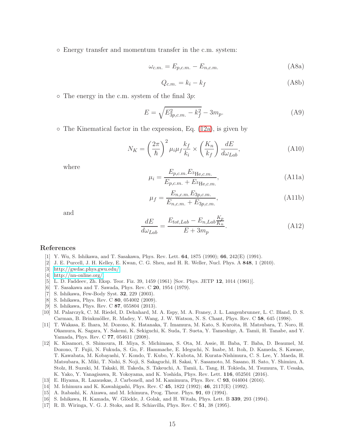◦ Energy transfer and momentum transfer in the c.m. system:

$$
\omega_{c.m.} = E_{p,c.m.} - E_{n,c.m.} \tag{A8a}
$$

<span id="page-14-17"></span>
$$
Q_{c.m.} = k_i - k_f \tag{A8b}
$$

 $\circ$  The energy in the c.m. system of the final 3p:

<span id="page-14-15"></span>
$$
E = \sqrt{E_{3p,c.m.}^2 - k_f^2} - 3m_p.
$$
 (A9)

 $\circ$  The Kinematical factor in the expression, Eq. [\(12a\)](#page-4-4), is given by

<span id="page-14-18"></span>
$$
N_K = \left(\frac{2\pi}{\hbar}\right)^2 \mu_i \mu_f \frac{k_f}{k_i} \times \left(\frac{K_n}{k_f}\right) \frac{dE}{d\omega_{Lab}},\tag{A10}
$$

where

$$
\mu_i = \frac{E_{p,c.m.} E_{^3\text{He},c.m.}}{E_{p,c.m.} + E_{^3\text{He},c.m.}},\tag{A11a}
$$

$$
\mu_f = \frac{E_{n,c.m.} E_{3p,c.m.}}{E_{n,c.m.} + E_{3p,c.m.}},
$$
\n(A11b)

and

$$
\frac{dE}{d\omega_{Lab}} = \frac{E_{tot, Lab} - E_{n, Lab} \frac{K_p}{K_n}}{E + 3m_p}.
$$
\n(A12)

#### References

- <span id="page-14-0"></span>[1] Y. Wu, S. Ishikawa, and T. Sasakawa, Phys. Rev. Lett. 64, 1875 (1990); 66, 242(E) (1991).
- <span id="page-14-1"></span>[2] J. E. Purcell, J. H. Kelley, E. Kwan, C. G. Sheu, and H. R. Weller, Nucl. Phys. A 848, 1 (2010).
- <span id="page-14-2"></span>[3] [http://gwdac.phys.gwu.edu/.](http://gwdac.phys.gwu.edu/)
- <span id="page-14-3"></span>[4] [http://nn-online.org/.](http://nn-online.org/)
- <span id="page-14-4"></span>[5] L. D. Faddeev, Zh. Eksp. Teor. Fiz. 39, 1459 (1961) [Sov. Phys. JETP 12, 1014 (1961)].
- <span id="page-14-5"></span>[6] T. Sasakawa and T. Sawada, Phys. Rev. C 20, 1954 (1979).
- <span id="page-14-6"></span>[7] S. Ishikawa, Few-Body Syst. 32, 229 (2003).
- <span id="page-14-7"></span>[8] S. Ishikawa, Phys. Rev. C 80, 054002 (2009).
- <span id="page-14-8"></span>[9] S. Ishikawa, Phys. Rev. C 87, 055804 (2013).
- <span id="page-14-9"></span>[10] M. Palarczyk, C. M. Riedel, D. Dehnhard, M. A. Espy, M. A. Franey, J. L. Langenbrunner, L. C. Bland, D. S. Carman, B. Brinkmöller, R. Madey, Y. Wang, J. W. Watson, N. S. Chant, Phys. Rev. C 58, 645 (1998).
- <span id="page-14-10"></span>[11] T. Wakasa, E. Ihara, M. Dozono, K. Hatanaka, T. Imamura, M. Kato, S. Kuroita, H. Matsubara, T. Noro, H. Okamura, K. Sagara, Y. Sakemi, K. Sekiguchi, K. Suda, T. Sueta, Y. Tameshige, A. Tamii, H. Tanabe, and Y. Yamada, Phys. Rev. C 77, 054611 (2008).
- <span id="page-14-11"></span>[12] K. Kisamori, S. Shimoura, H. Miya, S. Michimasa, S. Ota, M. Assie, H. Baba, T. Baba, D. Beaumel, M. Dozono, T. Fujii, N. Fukuda, S. Go, F. Hammache, E. Ideguchi, N. Inabe, M. Itoh, D. Kameda, S. Kawase, T. Kawabata, M. Kobayashi, Y. Kondo, T. Kubo, Y. Kubota, M. Kurata-Nishimura, C. S. Lee, Y. Maeda, H. Matsubara, K. Miki, T. Nishi, S. Noji, S. Sakaguchi, H. Sakai, Y. Sasamoto, M. Sasano, H. Sato, Y. Shimizu, A. Stolz, H. Suzuki, M. Takaki, H. Takeda, S. Takeuchi, A. Tamii, L. Tang, H. Tokieda, M. Tsumura, T. Uesaka, K. Yako, Y. Yanagisawa, R. Yokoyama, and K. Yoshida, Phys. Rev. Lett. 116, 052501 (2016).
- <span id="page-14-12"></span>[13] E. Hiyama, R. Lazauskas, J. Carbonell, and M. Kamimura, Phys. Rev. C 93, 044004 (2016).
- <span id="page-14-13"></span>[14] M. Ichimura and K. Kawahigashi, Phys. Rev. C 45, 1822 (1992); 46, 2117(E) (1992).
- <span id="page-14-14"></span>[15] A. Itabashi, K. Aizawa, and M. Ichimura, Prog. Theor. Phys. 91, 69 (1994).
- <span id="page-14-16"></span>[16] S. Ishikawa, H. Kamada, W. Glöckle, J. Golak, and H. Witała, Phys. Lett. B 339, 293 (1994).
- <span id="page-14-19"></span>[17] R. B. Wiringa, V. G. J. Stoks, and R. Schiavilla, Phys. Rev. C 51, 38 (1995).